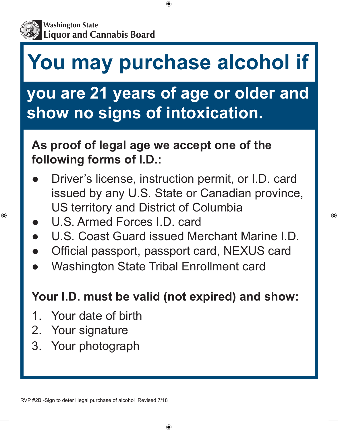

⊕

**Washington State Liquor and Cannabis Board**

# **You may purchase alcohol if**

⊕

## **you are 21 years of age or older and show no signs of intoxication.**

#### **As proof of legal age we accept one of the following forms of I.D.:**

**●** Driver's license, instruction permit, or I.D. card issued by any U.S. State or Canadian province, US territory and District of Columbia

⊕

- **●** U.S. Armed Forces I.D. card
- **●** U.S. Coast Guard issued Merchant Marine I.D.
- **●** Official passport, passport card, NEXUS card
- **●** Washington State Tribal Enrollment card

#### **Your I.D. must be valid (not expired) and show:**

- 1. Your date of birth
- 2. Your signature
- 3. Your photograph

RVP #2B -Sign to deter illegal purchase of alcohol Revised 7/18